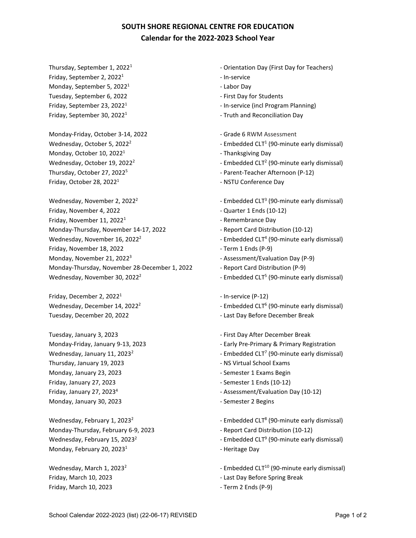## **SOUTH SHORE REGIONAL CENTRE FOR EDUCATION Calendar for the 2022-2023 School Year**

Friday, September 2, 2022<sup>1</sup> and the service of the service Monday, September 5,  $2022<sup>1</sup>$  example the set of the Labor Day Tuesday, September 6, 2022 and September 1, 2022 Friday, September 30, 2022<sup>1</sup> and Friday, September 30, 2022<sup>1</sup> and Friday, September 30, 2022<sup>1</sup>

Monday-Friday, October 3-14, 2022 **Accord 2012** - Grade 6 RWM Assessment Monday, October 10,  $2022<sup>1</sup>$   $\cdots$  Thanksgiving Day Thursday, October 27, 2022<sup>5</sup> - Parent-Teacher Afternoon (P-12) Friday, October 28, 2022<sup>1</sup> and 2001 of the NSTU Conference Day

Friday, November 4, 2022 **and Struth 1 and Struth 1** Cuarter 1 Ends (10-12) Friday, November 11, 2022<sup>1</sup> Christian Communication Christian Priday, Remembrance Day Monday-Thursday, November 14-17, 2022 Feport Card Distribution (10-12) Wednesday, November 16, 2022<sup>2</sup> The Superior Computer of CLT<sup>4</sup> (90-minute early dismissal) Friday, November 18, 2022 **Term 1** Ends (P-9) Monday, November 21, 2022<sup>3</sup> and the assessment/Evaluation Day (P-9) Monday-Thursday, November 28-December 1, 2022 - Report Card Distribution (P-9) Wednesday, November 30, 2022<sup>2</sup>  $\blacksquare$  Fmbedded CLT<sup>5</sup> (90-minute early dismissal)

Friday, December 2,  $2022<sup>1</sup>$   $\qquad \qquad$  - In-service (P-12)

Tuesday, January 3, 2023 **After December Break - First Day After December Break** Thursday, January 19, 2023 - NS Virtual School Exams Monday, January 23, 2023 **Accord 20 Example 23, 2023** - Semester 1 Exams Begin Friday, January 27, 2023 **Friday, January 27, 2023** - Semester 1 Ends (10-12) Monday, January 30, 2023 **and Strategies 2 Semester 2 Begins** 

Monday-Thursday, February 6-9, 2023 - Report Card Distribution (10-12) Monday, February 20, 2023<sup>1</sup>  $\blacksquare$   $\blacksquare$   $\blacksquare$   $\blacksquare$   $\blacksquare$   $\blacksquare$   $\blacksquare$   $\blacksquare$   $\blacksquare$   $\blacksquare$   $\blacksquare$   $\blacksquare$   $\blacksquare$   $\blacksquare$   $\blacksquare$   $\blacksquare$   $\blacksquare$   $\blacksquare$   $\blacksquare$   $\blacksquare$   $\blacksquare$   $\blacksquare$   $\blacksquare$   $\blacksquare$   $\blacksquare$   $\blacksquare$   $\blacksquare$   $\bl$ 

Friday, March 10, 2023 **and Struth 10, 2023** - Term 2 Ends (P-9)

- Thursday, September 1, 2022<sup>1</sup> and Communication Day (First Day for Teachers)
	-
	-
	-
- Friday, September 23, 2022<sup>1</sup> and September 23, 2022<sup>1</sup> and September 23, 2022<sup>1</sup> and September 23, 2022<sup>1</sup>
	-
	-
- Wednesday, October 5, 2022<sup>2</sup>  $\blacksquare$  Fmbedded CLT<sup>1</sup> (90-minute early dismissal)
	-
- Wednesday, October 19, 2022<sup>2</sup>  $\blacksquare$  Fmbedded CLT<sup>2</sup> (90-minute early dismissal)
	-
	-
- Wednesday, November 2, 2022<sup>2</sup>  $\blacksquare$  Fmbedded CLT<sup>3</sup> (90-minute early dismissal)
	-
	-
	-
	-
	-
	-
	-
	-
	-
- Wednesday, December 14, 2022<sup>2</sup> and the settlement of the Embedded CLT<sup>6</sup> (90-minute early dismissal)
- Tuesday, December 20, 2022 and the control of the Last Day Before December Break
	-
- Monday-Friday, January 9-13, 2023 Early Pre-Primary & Primary Registration
- Wednesday, January 11, 2023<sup>2</sup> Chronic Letter Communist Current Letter (90-minute early dismissal)
	-
	-
	-
- Friday, January 27, 2023<sup>4</sup> example 2012 of the Assessment/Evaluation Day (10-12)
	-
- Wednesday, February 1, 2023<sup>2</sup> and the same of the Embedded CLT<sup>8</sup> (90-minute early dismissal)
	-
- Wednesday, February 15, 2023<sup>2</sup>  $\blacksquare$  February 15, 2023<sup>2</sup> Embedded CLT<sup>9</sup> (90-minute early dismissal)
	-
- Wednesday, March 1, 2023<sup>2</sup>  $\blacksquare$  Fmbedded CLT<sup>10</sup> (90-minute early dismissal)
- Friday, March 10, 2023 **Accord 2018** Last Day Before Spring Break
	-